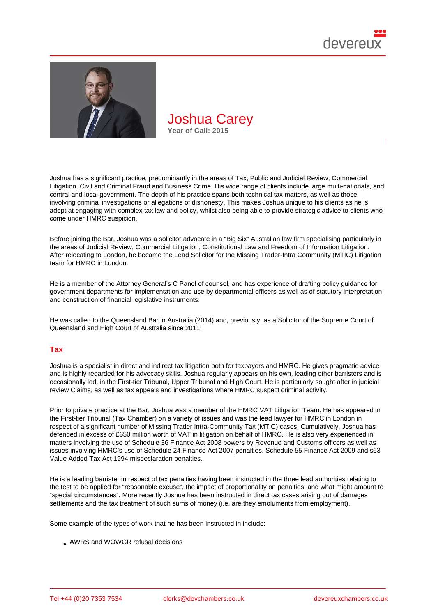

Joshua has a significant practice, predominantly in the areas of Tax, Public and Judicial Review, Commercial Litigation, Civil and Criminal Fraud and Business Crime. His wide range of clients include large multi-nationals, and central and local government. The depth of his practice spans both technical tax matters, as well as those involving criminal investigations or allegations of dishonesty. This makes Joshua unique to his clients as he is adept at engaging with complex tax law and policy, whilst also being able to provide strategic advice to clients who come under HMRC suspicion.

Before joining the Bar, Joshua was a solicitor advocate in a "Big Six" Australian law firm specialising particularly in the areas of Judicial Review, Commercial Litigation, Constitutional Law and Freedom of Information Litigation. After relocating to London, he became the Lead Solicitor for the Missing Trader-Intra Community (MTIC) Litigation team for HMRC in London.

He is a member of the Attorney General's C Panel of counsel, and has experience of drafting policy guidance for government departments for implementation and use by departmental officers as well as of statutory interpretation and construction of financial legislative instruments.

He was called to the Queensland Bar in Australia (2014) and, previously, as a Solicitor of the Supreme Court of Queensland and High Court of Australia since 2011.

## Tax

Joshua is a specialist in direct and indirect tax litigation both for taxpayers and HMRC. He gives pragmatic advice and is highly regarded for his advocacy skills. Joshua regularly appears on his own, leading other barristers and is occasionally led, in the First-tier Tribunal, Upper Tribunal and High Court. He is particularly sought after in judicial review Claims, as well as tax appeals and investigations where HMRC suspect criminal activity.

Prior to private practice at the Bar, Joshua was a member of the HMRC VAT Litigation Team. He has appeared in the First-tier Tribunal (Tax Chamber) on a variety of issues and was the lead lawyer for HMRC in London in respect of a significant number of Missing Trader Intra-Community Tax (MTIC) cases. Cumulatively, Joshua has defended in excess of £650 million worth of VAT in litigation on behalf of HMRC. He is also very experienced in matters involving the use of Schedule 36 Finance Act 2008 powers by Revenue and Customs officers as well as issues involving HMRC's use of Schedule 24 Finance Act 2007 penalties, Schedule 55 Finance Act 2009 and s63 Value Added Tax Act 1994 misdeclaration penalties.

He is a leading barrister in respect of tax penalties having been instructed in the three lead authorities relating to the test to be applied for "reasonable excuse", the impact of proportionality on penalties, and what might amount to "special circumstances". More recently Joshua has been instructed in direct tax cases arising out of damages settlements and the tax treatment of such sums of money (i.e. are they emoluments from employment).

Some example of the types of work that he has been instructed in include:

AWRS and WOWGR refusal decisions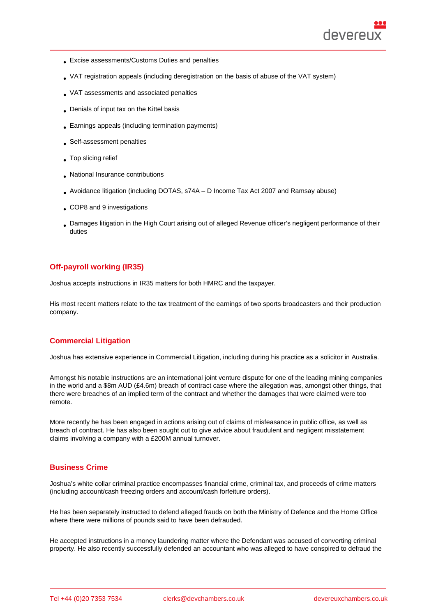- Excise assessments/Customs Duties and penalties
- VAT registration appeals (including deregistration on the basis of abuse of the VAT system)
- VAT assessments and associated penalties
- Denials of input tax on the Kittel basis
- Earnings appeals (including termination payments)
- Self-assessment penalties
- . Top slicing relief
- National Insurance contributions
- Avoidance litigation (including DOTAS, s74A D Income Tax Act 2007 and Ramsay abuse)
- COP8 and 9 investigations
- Damages litigation in the High Court arising out of alleged Revenue officer's negligent performance of their duties

# Off-payroll working (IR35)

Joshua accepts instructions in IR35 matters for both HMRC and the taxpayer.

His most recent matters relate to the tax treatment of the earnings of two sports broadcasters and their production company.

## Commercial Litigation

Joshua has extensive experience in Commercial Litigation, including during his practice as a solicitor in Australia.

Amongst his notable instructions are an international joint venture dispute for one of the leading mining companies in the world and a \$8m AUD (£4.6m) breach of contract case where the allegation was, amongst other things, that there were breaches of an implied term of the contract and whether the damages that were claimed were too remote.

More recently he has been engaged in actions arising out of claims of misfeasance in public office, as well as breach of contract. He has also been sought out to give advice about fraudulent and negligent misstatement claims involving a company with a £200M annual turnover.

# Business Crime

Joshua's white collar criminal practice encompasses financial crime, criminal tax, and proceeds of crime matters (including account/cash freezing orders and account/cash forfeiture orders).

He has been separately instructed to defend alleged frauds on both the Ministry of Defence and the Home Office where there were millions of pounds said to have been defrauded.

He accepted instructions in a money laundering matter where the Defendant was accused of converting criminal property. He also recently successfully defended an accountant who was alleged to have conspired to defraud the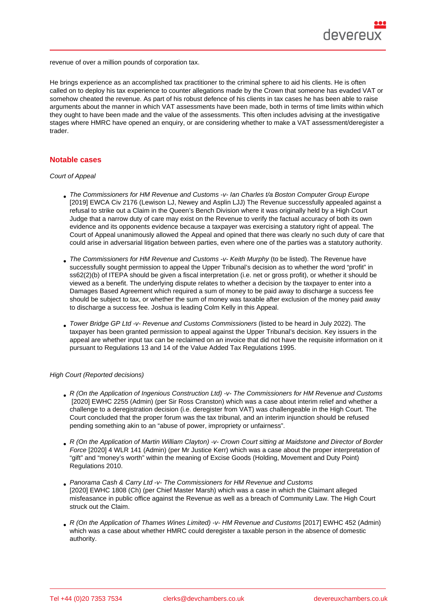revenue of over a million pounds of corporation tax.

He brings experience as an accomplished tax practitioner to the criminal sphere to aid his clients. He is often called on to deploy his tax experience to counter allegations made by the Crown that someone has evaded VAT or somehow cheated the revenue. As part of his robust defence of his clients in tax cases he has been able to raise arguments about the manner in which VAT assessments have been made, both in terms of time limits within which they ought to have been made and the value of the assessments. This often includes advising at the investigative stages where HMRC have opened an enquiry, or are considering whether to make a VAT assessment/deregister a trader.

### Notable cases

#### Court of Appeal

- The Commissioners for HM Revenue and Customs -v- Ian Charles t/a Boston Computer Group Europe [2019] EWCA Civ 2176 (Lewison LJ, Newey and Asplin LJJ) The Revenue successfully appealed against a refusal to strike out a Claim in the Queen's Bench Division where it was originally held by a High Court Judge that a narrow duty of care may exist on the Revenue to verify the factual accuracy of both its own [evidence and its opponents evidence because a taxpayer was exercising a statutory right of appeal. The](https://bit.ly/3f0rtx2) Court of Appeal unanimously allowed the Appeal and opined that there was clearly no such duty of care that could arise in adversarial litigation between parties, even where one of the parties was a statutory authority.
- The Commissioners for HM Revenue and Customs -v- Keith Murphy (to be listed). The Revenue have successfully sought permission to appeal the Upper Tribunal's decision as to whether the word "profit" in ss62(2)(b) of ITEPA should be given a fiscal interpretation (i.e. net or gross profit), or whether it should be viewed as a benefit. The underlying dispute relates to whether a decision by the taxpayer to enter into a Damages Based Agreement which required a sum of money to be paid away to discharge a success fee should be subject to tax, or whether the sum of money was taxable after exclusion of the money paid away to discharge a success fee. Joshua is leading Colm Kelly in this Appeal.
- Tower Bridge GP Ltd -v- Revenue and Customs Commissioners (listed to be heard in July 2022). The taxpayer has been granted permission to appeal against the Upper Tribunal's decision. Key issuers in the appeal are whether input tax can be reclaimed on an invoice that did not have the requisite information on it pursuant to Regulations 13 and 14 of the Value Added Tax Regulations 1995.

High Court (Reported decisions)

- R (On the Application of Ingenious Construction Ltd) -v- The Commissioners for HM Revenue and Customs [2020] EWHC 2255 (Admin) (per Sir Ross Cranston) which was a case about interim relief and whether a challenge to a deregistration decision (i.e. deregister from VAT) was challengeable in the High Court. The Court concluded that the proper forum was the tax tribunal, and an interim injunction should be refused [pending something akin to an "abuse of power, impropriety or unfairness".](https://www.bailii.org/ew/cases/EWHC/Admin/2020/2255.html)
- R (On the Application of Martin William Clayton) -v- Crown Court sitting at Maidstone and Director of Border Force [2020] 4 WLR 141 (Admin) (per Mr Justice Kerr) which was a case about the proper interpretation of "gift" and "money's worth" within the meaning of Excise Goods (Holding, Movement and Duty Point) Regulations 2010.
- [Panorama Cash & Carry Ltd -v- The Commissioners for HM Revenue and Customs](https://www.bailii.org/ew/cases/EWHC/Admin/2020/1729.html) [2020] EWHC 1808 (Ch) (per Chief Master Marsh) which was a case in which the Claimant alleged misfeasance in public office against the Revenue as well as a breach of Community Law. The High Court struck out the Claim.
- [R \(On the Application of Thames Wines Limited\) -v- HM Revenue and Customs \[201](https://www.bailii.org/ew/cases/EWHC/Ch/2020/1808.html)7] EWHC 452 (Admin) which was a case about whether HMRC could deregister a taxable person in the absence of domestic authority.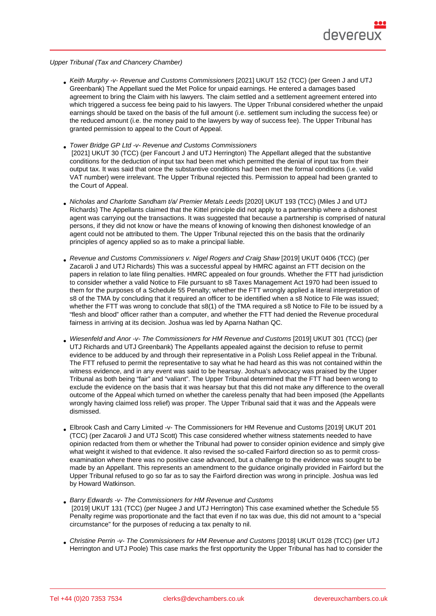Upper Tribunal (Tax and Chancery Chamber)

- Keith Murphy -v- Revenue and Customs Commissioners [2021] UKUT 152 (TCC) (per Green J and UTJ Greenbank) The Appellant sued the Met Police for unpaid earnings. He entered a damages based agreement to bring the Claim with his lawyers. The claim settled and a settlement agreement entered into which triggered a success fee being paid to his lawyers. The Upper Tribunal considered whether the unpaid [earnings should be taxed on the basis of the full amount](https://www.bailii.org/uk/cases/UKUT/TCC/2021/152.html) (i.e. settlement sum including the success fee) or the reduced amount (i.e. the money paid to the lawyers by way of success fee). The Upper Tribunal has granted permission to appeal to the Court of Appeal.
- Tower Bridge GP Ltd -v- Revenue and Customs Commissioners [2021] UKUT 30 (TCC) (per Fancourt J and UTJ Herrington) The Appellant alleged that the substantive conditions for the deduction of input tax had been met which permitted the denial of input tax from their output tax. It was said that once the substantive conditions had been met the formal conditions (i.e. valid [VAT number\) were irrelevant. The Upper Tribunal rejected this. P](https://www.bailii.org/uk/cases/UKUT/TCC/2021/30.html)ermission to appeal had been granted to the Court of Appeal.
- Nicholas and Charlotte Sandham t/a/ Premier Metals Leeds [2020] UKUT 193 (TCC) (Miles J and UTJ Richards) The Appellants claimed that the Kittel principle did not apply to a partnership where a dishonest agent was carrying out the transactions. It was suggested that because a partnership is comprised of natural persons, if they did not know or have the means of knowing of knowing then dishonest knowledge of an agent could not be attributed to them. The Upper Tribunal rejected this on the basis that the ordinarily principles of agency applied so as to make a principal liable.
- Revenue and Customs Commissioners v. Nigel Rogers and Craig Shaw [2019] UKUT 0406 (TCC) (per Zacaroli J and UTJ Richards) This was a successful appeal by HMRC against an FTT decision on the papers in relation to late filing penalties. HMRC appealed on four grounds. Whether the FTT had jurisdiction to consider whether a valid Notice to File pursuant to s8 Taxes Management Act 1970 had been issued to [them for the purposes of a Schedule 55 Penalty; whether the FTT wrongl](https://bit.ly/3eXny42)y applied a literal interpretation of s8 of the TMA by concluding that it required an officer to be identified when a s8 Notice to File was issued; whether the FTT was wrong to conclude that s8(1) of the TMA required a s8 Notice to File to be issued by a "flesh and blood" officer rather than a computer, and whether the FTT had denied the Revenue procedural fairness in arriving at its decision. Joshua was led by Aparna Nathan QC.
- Wiesenfeld and Anor -v- The Commissioners for HM Revenue and Customs [2019] UKUT 301 (TCC) (per UTJ Richards and UTJ Greenbank) The Appellants appealed against the decision to refuse to permit evidence to be adduced by and through their represe[ntative in a Polish Lo](https://www.devereuxchambers.co.uk/barristers/profile/aparna-nathan)ss Relief appeal in the Tribunal. The FTT refused to permit the representative to say what he had heard as this was not contained within the [witness evidence, and in any event was said to be hearsay. Joshua's advoca](https://bit.ly/2YU41fi)cy was praised by the Upper Tribunal as both being "fair" and "valiant". The Upper Tribunal determined that the FTT had been wrong to exclude the evidence on the basis that it was hearsay but that this did not make any difference to the overall outcome of the Appeal which turned on whether the careless penalty that had been imposed (the Appellants wrongly having claimed loss relief) was proper. The Upper Tribunal said that it was and the Appeals were dismissed.
- Elbrook Cash and Carry Limited -v- The Commissioners for HM Revenue and Customs [2019] UKUT 201 (TCC) (per Zacaroli J and UTJ Scott) This case considered whether witness statements needed to have opinion redacted from them or whether the Tribunal had power to consider opinion evidence and simply give what weight it wished to that evidence. It also revised the so-called Fairford direction so as to permit cross[examination where there was no positive case advanced, but a challenge to the evidenc](https://bit.ly/2Bw9Nux)e was sought to be made by an Appellant. This represents an amendment to the guidance originally provided in Fairford but the Upper Tribunal refused to go so far as to say the Fairford direction was wrong in principle. Joshua was led by Howard Watkinson.
- Barry Edwards -v- The Commissioners for HM Revenue and Customs [2019] UKUT 131 (TCC) (per Nugee J and UTJ Herrington) This case examined whether the Schedule 55 Penalty regime was proportionate and the fact that even if no tax was due, this did not amount to a "special circumstance" for the purposes of reducing a tax penalty to nil.
- [Christine Perrin -v- The Commissioners for HM Revenue and Customs](https://bit.ly/2ZzYcm4) [2018] UKUT 0128 (TCC) (per UTJ Herrington and UTJ Poole) This case marks the first opportunity the Upper Tribunal has had to consider the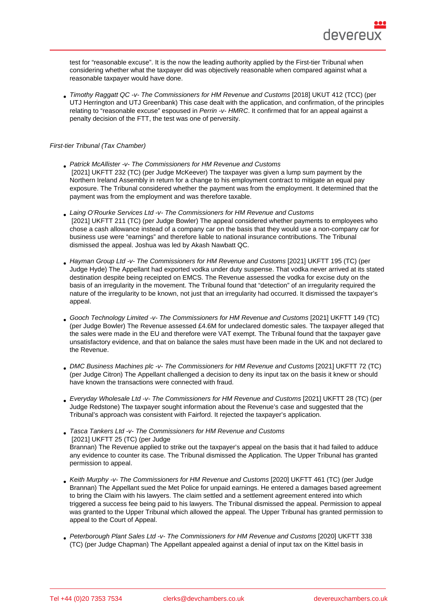test for "reasonable excuse". It is the now the leading authority applied by the First-tier Tribunal when considering whether what the taxpayer did was objectively reasonable when compared against what a reasonable taxpayer would have done.

Timothy Raggatt QC -v- The Commissioners for HM Revenue and Customs [2018] UKUT 412 (TCC) (per UTJ Herrington and UTJ Greenbank) This case dealt with the application, and confirmation, of the principles relating to "reasonable excuse" espoused in Perrin -v- HMRC. It confirmed that for an appeal against a penalty decision of the FTT, the test was one of perversity.

First-tier Tribunal (Tax Chamber)

- Patrick McAllister -v- The Commissioners for HM Revenue and Customs [2021] UKFTT 232 (TC) (per Judge McKeever) The taxpayer was given a lump sum payment by the Northern Ireland Assembly in return for a change to his employment contract to mitigate an equal pay exposure. The Tribunal considered whether the payment was from the employment. It determined that the payment was from the employment and was therefore taxable.
- Laing O'Rourke Services Ltd -v- The Commissioners for HM Revenue and Customs [2021] UKFTT 211 (TC) (per Judge Bowler) The appeal considered whether payments to employees who chose a cash allowance instead of a company car on the basis that they would use a non-company car for business use were "earnings" and therefore liable to national insurance contributions. The Tribunal dismissed the appeal. Joshua was led by Akash Nawbatt QC.
- Hayman Group Ltd -v- The Commissioners for HM Revenue and Customs [2021] UKFTT 195 (TC) (per Judge Hyde) The Appellant had exported vodka under duty suspense. That vodka never arrived at its stated destination despite being receipted on EMCS. The Revenue assessed the vodka for excise duty on the basis of an irregularity in the movement. The Tribunal found that "detection" of an irregularity required the nature of the irregularity to be known, not just that an irregularity had occurred. It dismissed the taxpayer's appeal.
- Gooch Technology Limited -v- The Commissioners for HM Revenue and Customs [2021] UKFTT 149 (TC) (per Judge Bowler) The Revenue assessed £4.6M for undeclared domestic sales. The taxpayer alleged that the sales were made in the EU and therefore were VAT exempt. The Tribunal found that the taxpayer gave unsatisfactory evidence, and that on balance the sales must have been made in the UK and not declared to the Revenue.
- DMC Business Machines plc -v- The Commissioners for HM Revenue and Customs [2021] UKFTT 72 (TC) (per Judge Citron) The Appellant challenged a decision to deny its input tax on the basis it knew or should have known the transactions were connected with fraud.
- Everyday Wholesale Ltd -v- The Commissioners for HM Revenue and Customs [2021] UKFTT 28 (TC) (per Judge Redstone) The taxpayer sought information about the Revenue's case and suggested that the Tribunal's approach was consistent with Fairford. It rejected the taxpayer's application.
- Tasca Tankers Ltd -v- The Commissioners for HM Revenue and Customs [2021] UKFTT 25 (TC) (per Judge Brannan) The Revenue applied to strike out the taxpayer's appeal on the basis that it had failed to adduce any evidence to counter its case. The Tribunal dismissed the Application. The Upper Tribunal has granted permission to appeal.
- Keith Murphy -v- The Commissioners for HM Revenue and Customs [2020] UKFTT 461 (TC) (per Judge Brannan) The Appellant sued the Met Police for unpaid earnings. He entered a damages based agreement to bring the Claim with his lawyers. The claim settled and a settlement agreement entered into which triggered a success fee being paid to his lawyers. The Tribunal dismissed the appeal. Permission to appeal was granted to the Upper Tribunal which allowed the appeal. The Upper Tribunal has granted permission to appeal to the Court of Appeal.
- Peterborough Plant Sales Ltd -v- The Commissioners for HM Revenue and Customs [2020] UKFTT 338 (TC) (per Judge Chapman) The Appellant appealed against a denial of input tax on the Kittel basis in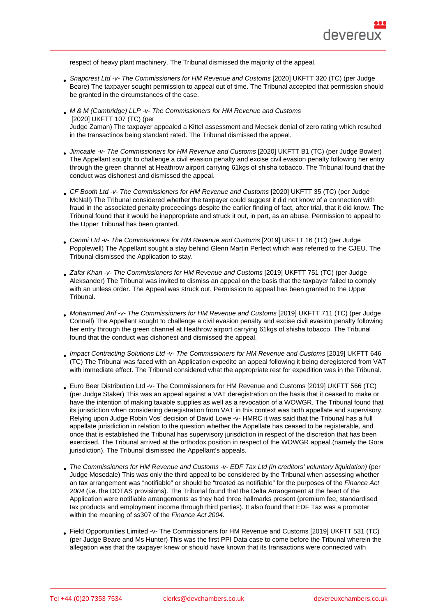respect of heavy plant machinery. The Tribunal dismissed the majority of the appeal.

- Snapcrest Ltd -v- The Commissioners for HM Revenue and Customs [2020] UKFTT 320 (TC) (per Judge Beare) The taxpayer sought permission to appeal out of time. The Tribunal accepted that permission should be granted in the circumstances of the case.
- M & M (Cambridge) LLP -v- The Commissioners for HM Revenue and Customs [2020] UKFTT 107 (TC) (per Judge Zaman) The taxpayer appealed a Kittel assessment and Mecsek denial of zero rating which resulted in the transactinos being standard rated. The Tribunal dismissed the appeal.
- Jimcaale -v- The Commissioners for HM Revenue and Customs [2020] UKFTT B1 (TC) (per Judge Bowler) The Appellant sought to challenge a civil evasion penalty and excise civil evasion penalty following her entry through the green channel at Heathrow airport carrying 61kgs of shisha tobacco. The Tribunal found that the conduct was dishonest and dismissed the appeal.
- CF Booth Ltd -v- The Commissioners for HM Revenue and Customs [2020] UKFTT 35 (TC) (per Judge McNall) The Tribunal considered whether the taxpayer could suggest it did not know of a connection with fraud in the associated penalty proceedings despite the earlier finding of fact, after trial, that it did know. The Tribunal found that it would be inappropriate and struck it out, in part, as an abuse. Permission to appeal to the Upper Tribunal has been granted.
- Canmi Ltd -v- The Commissioners for HM Revenue and Customs [2019] UKFTT 16 (TC) (per Judge Popplewell) The Appellant sought a stay behind Glenn Martin Perfect which was referred to the CJEU. The Tribunal dismissed the Application to stay.
- Zafar Khan -v- The Commissioners for HM Revenue and Customs [2019] UKFTT 751 (TC) (per Judge Aleksander) The Tribunal was invited to dismiss an appeal on the basis that the taxpayer failed to comply with an unless order. The Appeal was struck out. Permission to appeal has been granted to the Upper Tribunal.
- Mohammed Arif -v- The Commissioners for HM Revenue and Customs [2019] UKFTT 711 (TC) (per Judge Connell) The Appellant sought to challenge a civil evasion penalty and excise civil evasion penalty following her entry through the green channel at Heathrow airport carrying 61kgs of shisha tobacco. The Tribunal found that the conduct was dishonest and dismissed the appeal.
- Impact Contracting Solutions Ltd -v- The Commissioners for HM Revenue and Customs [2019] UKFTT 646 (TC) The Tribunal was faced with an Application expedite an appeal following it being deregistered from VAT with immediate effect. The Tribunal considered what the appropriate rest for expedition was in the Tribunal.
- Euro Beer Distribution Ltd -v- The Commissioners for HM Revenue and Customs [2019] UKFTT 566 (TC) (per Judge Staker) This was an appeal against a VAT deregistration on the basis that it ceased to make or have the intention of making taxable supplies as well as a revocation of a WOWGR. The Tribunal found that its jurisdiction when considering deregistration from VAT in this context was both appellate and supervisory. [Relying upon Judge Robin Vos' decision of David Lowe -v- HMRC it was said that the Tribunal has a full](https://bit.ly/2ZyCVJo)  appellate jurisdiction in relation to the question whether the Appellate has ceased to be registerable, and once that is established the Tribunal has supervisory jurisdiction in respect of the discretion that has been exercised. The Tribunal arrived at the orthodox position in respect of the WOWGR appeal (namely the Gora jurisdiction). The Tribunal dismissed the Appellant's appeals.
- The Commissioners for HM Revenue and Customs -v- EDF Tax Ltd (in creditors' voluntary liquidation) (per Judge Mosedale) This was only the third appeal to be considered by the Tribunal when assessing whether an tax arrangement was "notifiable" or should be "treated as notifiable" for the purposes of the Finance Act 2004 (i.e. the DOTAS provisions). The Tribunal found that the Delta Arrangement at the heart of the [Application were notifiable arrangements as they had three hallmarks present \(premium fee, standardis](https://bit.ly/2AoN0QR)ed tax products and employment income through third parties). It also found that EDF Tax was a promoter within the meaning of ss307 of the Finance Act 2004.
- Field Opportunities Limited -v- The Commissioners for HM Revenue and Customs [2019] UKFTT 531 (TC) (per Judge Beare and Ms Hunter) This was the first PPI Data case to come before the Tribunal wherein the allegation was that the taxpayer knew or should have known that its transactions were connected with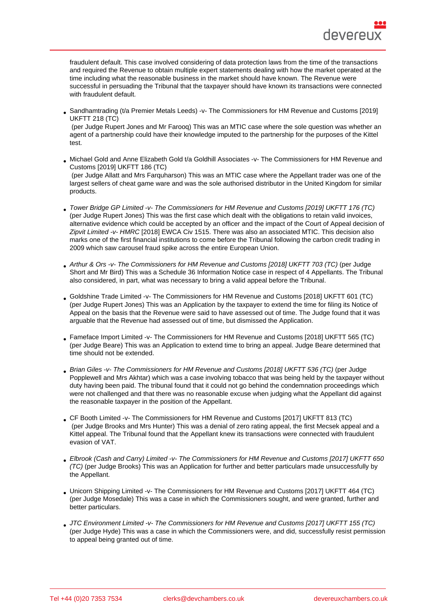fraudulent default. This case involved considering of data protection laws from the time of the transactions and required the Revenue to obtain multiple expert statements dealing with how the market operated at the time including what the reasonable business in the market should have known. The Revenue were successful in persuading the Tribunal that the taxpayer should have known its transactions were connected with fraudulent default.

Sandhamtrading (t/a Premier Metals Leeds) -v- The Commissioners for HM Revenue and Customs [2019] UKFTT 218 (TC)

 (per Judge Rupert Jones and Mr Farooq) This was an MTIC case where the sole question was whether an agent of a partnership could have their knowledge imputed to the partnership for the purposes of the Kittel [test.](https://bit.ly/2Zvt9b9)

[Michael Gold and](https://bit.ly/2Zvt9b9) Anne Elizabeth Gold t/a Goldhill Associates -v- The Commissioners for HM Revenue and Customs [2019] UKFTT 186 (TC)

 (per Judge Allatt and Mrs Farquharson) This was an MTIC case where the Appellant trader was one of the largest sellers of cheat game ware and was the sole authorised distributor in the United Kingdom for similar [products.](https://bit.ly/2VFoKBm)

- [Tower Bridge GP Limited -v- The](https://bit.ly/2VFoKBm) Commissioners for HM Revenue and Customs [2019] UKFTT 176 (TC) (per Judge Rupert Jones) This was the first case which dealt with the obligations to retain valid invoices, alternative evidence which could be accepted by an officer and the impact of the Court of Appeal decision of Zipvit Limited -v- HMRC [2018] EWCA Civ 1515. There was also an associated MTIC. This decision also [marks one of the first financial institutions to come before the Tribunal following the carbon credit trading i](https://bit.ly/31DfDEV)n 2009 which saw carousel fraud spike across the entire European Union.
- Arthur & Ors -v- The Commissioners for HM Revenue and Customs [2018] UKFTT 703 (TC) (per Judge Short and Mr Bird) This was a Schedule 36 Information Notice case in respect of 4 Appellants. The Tribunal also considered, in part, what was necessary to bring a valid appeal before the Tribunal.
- [Goldshine Trade Limited -v- The Commissioners for HM Revenue and Customs \[2018\] UKFT](https://bit.ly/3dXzHo6)T 601 (TC) (per Judge Rupert Jones) This was an Application by the taxpayer to extend the time for filing its Notice of Appeal on the basis that the Revenue were said to have assessed out of time. The Judge found that it was arguable that the Revenue had assessed out of time, but dismissed the Application.
- [Fameface Import Limited -v- The Commissioners for HM Revenue and Customs \[2018\] UKFTT 565 \(TC\)](https://bit.ly/3eVkEMW) (per Judge Beare) This was an Application to extend time to bring an appeal. Judge Beare determined that time should not be extended.
- [Brian Giles -v- The Commissioners for HM Revenue and Customs \[2018\] UKFTT 536 \(TC\) \(per Judge](https://bit.ly/3iqEzp5)  Popplewell and Mrs Akhtar) which was a case involving tobacco that was being held by the taxpayer without duty having been paid. The tribunal found that it could not go behind the condemnation proceedings which were not challenged and that there was no reasonable excuse when judging what the Appellant did against [the reasonable taxpayer in the position of the Appellant.](https://bit.ly/2NOVwLV)
- CF Booth Limited -v- The Commissioners for HM Revenue and Customs [2017] UKFTT 813 (TC) (per Judge Brooks and Mrs Hunter) This was a denial of zero rating appeal, the first Mecsek appeal and a Kittel appeal. The Tribunal found that the Appellant knew its transactions were connected with fraudulent evasion of VAT.
- [Elbrook \(Cash and Carry\) Limited -v- The Commissioners for HM Revenue and Customs \[2017\] U](https://bit.ly/3imoCjT)KFTT 650 (TC) (per Judge Brooks) This was an Application for further and better particulars made unsuccessfully by the Appellant.
- [Unicorn Shipping Limited -v- The Commissioners for HM Revenue and Customs \[2017\] UKFTT 464 \(TC\)](https://bit.ly/2VDQpTl) [\(per](https://bit.ly/2VDQpTl) Judge Mosedale) This was a case in which the Commissioners sought, and were granted, further and better particulars.
- [JTC Environment Limited -v- The Commissioners for HM Revenue and Customs \[2017\] UKFTT 155 \(TC\)](https://bit.ly/2BXL1Dp) (per Judge Hyde) This was a case in which the Commissioners were, and did, successfully resist permission to appeal being granted out of time.